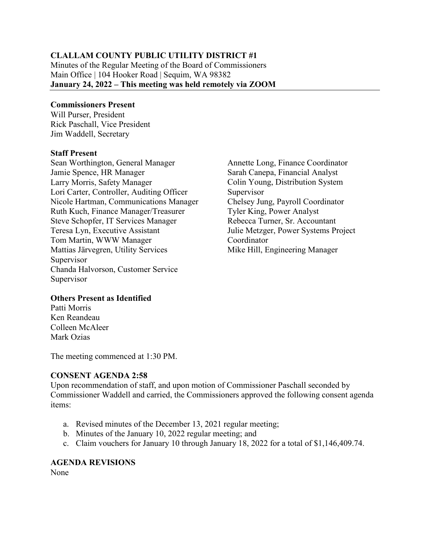### **CLALLAM COUNTY PUBLIC UTILITY DISTRICT #1**

Minutes of the Regular Meeting of the Board of Commissioners Main Office | 104 Hooker Road | Sequim, WA 98382 **January 24, 2022 – This meeting was held remotely via ZOOM**

#### **Commissioners Present**

Will Purser, President Rick Paschall, Vice President Jim Waddell, Secretary

#### **Staff Present**

Sean Worthington, General Manager Jamie Spence, HR Manager Larry Morris, Safety Manager Lori Carter, Controller, Auditing Officer Nicole Hartman, Communications Manager Ruth Kuch, Finance Manager/Treasurer Steve Schopfer, IT Services Manager Teresa Lyn, Executive Assistant Tom Martin, WWW Manager Mattias Järvegren, Utility Services Supervisor Chanda Halvorson, Customer Service Supervisor

Annette Long, Finance Coordinator Sarah Canepa, Financial Analyst Colin Young, Distribution System Supervisor Chelsey Jung, Payroll Coordinator Tyler King, Power Analyst Rebecca Turner, Sr. Accountant Julie Metzger, Power Systems Project Coordinator Mike Hill, Engineering Manager

### **Others Present as Identified**

Patti Morris Ken Reandeau Colleen McAleer Mark Ozias

The meeting commenced at 1:30 PM.

### **CONSENT AGENDA 2:58**

Upon recommendation of staff, and upon motion of Commissioner Paschall seconded by Commissioner Waddell and carried, the Commissioners approved the following consent agenda items:

- a. Revised minutes of the December 13, 2021 regular meeting;
- b. Minutes of the January 10, 2022 regular meeting; and
- c. Claim vouchers for January 10 through January 18, 2022 for a total of \$1,146,409.74.

# **AGENDA REVISIONS**

None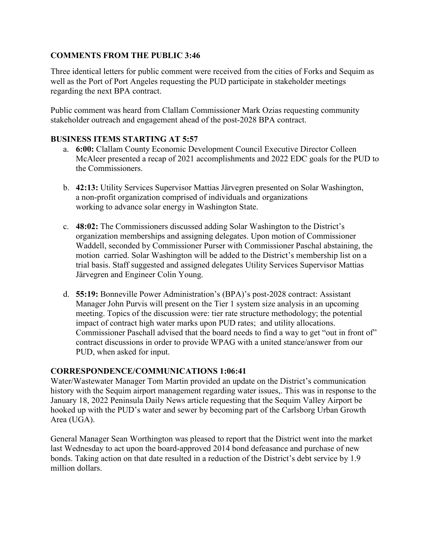# **COMMENTS FROM THE PUBLIC 3:46**

Three identical letters for public comment were received from the cities of Forks and Sequim as well as the Port of Port Angeles requesting the PUD participate in stakeholder meetings regarding the next BPA contract.

Public comment was heard from Clallam Commissioner Mark Ozias requesting community stakeholder outreach and engagement ahead of the post-2028 BPA contract.

## **BUSINESS ITEMS STARTING AT 5:57**

- a. **6:00:** Clallam County Economic Development Council Executive Director Colleen McAleer presented a recap of 2021 accomplishments and 2022 EDC goals for the PUD to the Commissioners.
- b. **42:13:** Utility Services Supervisor Mattias Järvegren presented on Solar Washington, a non-profit organization comprised of individuals and organizations working to advance solar energy in Washington State.
- c. **48:02:** The Commissioners discussed adding Solar Washington to the District's organization memberships and assigning delegates. Upon motion of Commissioner Waddell, seconded by Commissioner Purser with Commissioner Paschal abstaining, the motion carried. Solar Washington will be added to the District's membership list on a trial basis. Staff suggested and assigned delegates Utility Services Supervisor Mattias Järvegren and Engineer Colin Young.
- d. **55:19:** Bonneville Power Administration's (BPA)'s post-2028 contract: Assistant Manager John Purvis will present on the Tier 1 system size analysis in an upcoming meeting. Topics of the discussion were: tier rate structure methodology; the potential impact of contract high water marks upon PUD rates; and utility allocations. Commissioner Paschall advised that the board needs to find a way to get "out in front of" contract discussions in order to provide WPAG with a united stance/answer from our PUD, when asked for input.

### **CORRESPONDENCE/COMMUNICATIONS 1:06:41**

Water/Wastewater Manager Tom Martin provided an update on the District's communication history with the Sequim airport management regarding water issues,. This was in response to the January 18, 2022 Peninsula Daily News article requesting that the Sequim Valley Airport be hooked up with the PUD's water and sewer by becoming part of the Carlsborg Urban Growth Area (UGA).

General Manager Sean Worthington was pleased to report that the District went into the market last Wednesday to act upon the board-approved 2014 bond defeasance and purchase of new bonds. Taking action on that date resulted in a reduction of the District's debt service by 1.9 million dollars.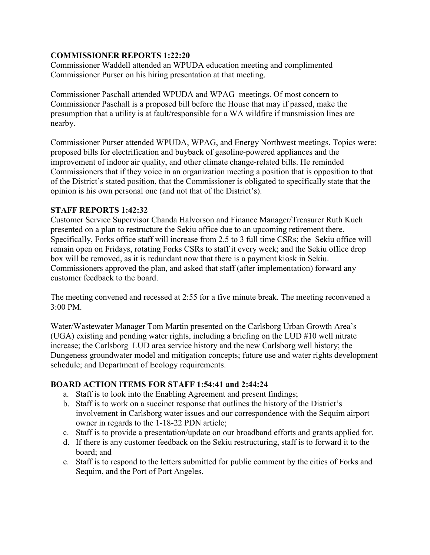# **COMMISSIONER REPORTS 1:22:20**

Commissioner Waddell attended an WPUDA education meeting and complimented Commissioner Purser on his hiring presentation at that meeting.

Commissioner Paschall attended WPUDA and WPAG meetings. Of most concern to Commissioner Paschall is a proposed bill before the House that may if passed, make the presumption that a utility is at fault/responsible for a WA wildfire if transmission lines are nearby.

Commissioner Purser attended WPUDA, WPAG, and Energy Northwest meetings. Topics were: proposed bills for electrification and buyback of gasoline-powered appliances and the improvement of indoor air quality, and other climate change-related bills. He reminded Commissioners that if they voice in an organization meeting a position that is opposition to that of the District's stated position, that the Commissioner is obligated to specifically state that the opinion is his own personal one (and not that of the District's).

# **STAFF REPORTS 1:42:32**

Customer Service Supervisor Chanda Halvorson and Finance Manager/Treasurer Ruth Kuch presented on a plan to restructure the Sekiu office due to an upcoming retirement there. Specifically, Forks office staff will increase from 2.5 to 3 full time CSRs; the Sekiu office will remain open on Fridays, rotating Forks CSRs to staff it every week; and the Sekiu office drop box will be removed, as it is redundant now that there is a payment kiosk in Sekiu. Commissioners approved the plan, and asked that staff (after implementation) forward any customer feedback to the board.

The meeting convened and recessed at 2:55 for a five minute break. The meeting reconvened a 3:00 PM.

Water/Wastewater Manager Tom Martin presented on the Carlsborg Urban Growth Area's (UGA) existing and pending water rights, including a briefing on the LUD #10 well nitrate increase; the Carlsborg LUD area service history and the new Carlsborg well history; the Dungeness groundwater model and mitigation concepts; future use and water rights development schedule; and Department of Ecology requirements.

# **BOARD ACTION ITEMS FOR STAFF 1:54:41 and 2:44:24**

- a. Staff is to look into the Enabling Agreement and present findings;
- b. Staff is to work on a succinct response that outlines the history of the District's involvement in Carlsborg water issues and our correspondence with the Sequim airport owner in regards to the 1-18-22 PDN article;
- c. Staff is to provide a presentation/update on our broadband efforts and grants applied for.
- d. If there is any customer feedback on the Sekiu restructuring, staff is to forward it to the board; and
- e. Staff is to respond to the letters submitted for public comment by the cities of Forks and Sequim, and the Port of Port Angeles.